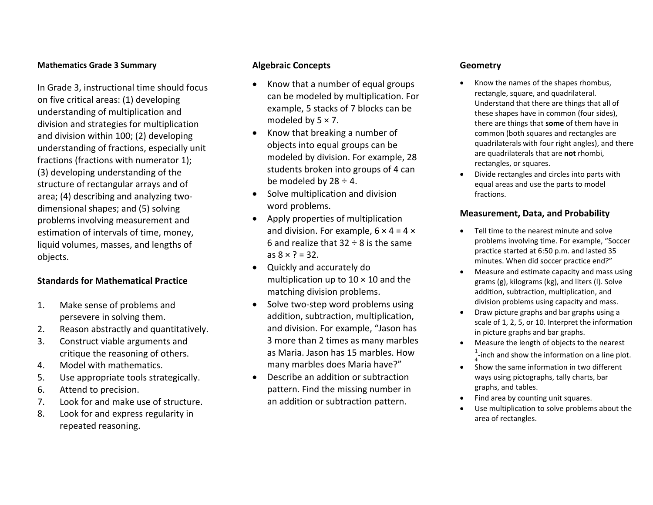#### **Mathematics Grade 3 Summary**

In Grade 3, instructional time should focus on five critical areas: (1) developing understanding of multiplication and division and strategies for multiplication and division within 100; (2) developing understanding of fractions, especially unit fractions (fractions with numerator 1); (3) developing understanding of the structure of rectangular arrays and of area; (4) describing and analyzing two‐ dimensional shapes; and (5) solving problems involving measurement and estimation of intervals of time, money, liquid volumes, masses, and lengths of objects.

### **Standards for Mathematical Practice**

- 1. Make sense of problems and persevere in solving them.
- 2.Reason abstractly and quantitatively.
- 3. Construct viable arguments and critique the reasoning of others.
- 4.Model with mathematics.
- 5.Use appropriate tools strategically.
- 6.Attend to precision.
- 7.Look for and make use of structure.
- 8. Look for and express regularity in repeated reasoning.

## **Algebraic Concepts**

- . • Know that a number of equal groups can be modeled by multiplication. For example, 5 stacks of 7 blocks can be modeled by 5 × 7.
- $\bullet$ • Know that breaking a number of objects into equal groups can be modeled by division. For example, 28 students broken into groups of 4 can be modeled by 28 <sup>÷</sup> 4.
- $\bullet$ • Solve multiplication and division word problems.
- Apply properties of multiplication and division. For example, 6×4=4×6 and realize that 32 ÷8 is the same as8× ? <sup>=</sup> 32.
- $\bullet$  Quickly and accurately do multiplication up to 10 × 10 and the matching division problems.
- $\bullet$ ● Solve two-step word problems using addition, subtraction, multiplication, and division. For example, "Jason has 3 more than 2 times as many marbles as Maria. Jason has 15 marbles. Howmany marbles does Maria have?"
- 0 Describe an addition or subtraction pattern. Find the missing number in an addition or subtraction pattern.

#### **Geometry**

- . • Know the names of the shapes rhombus, rectangle, square, and quadrilateral. Understand that there are things that all of these shapes have in common (four sides), there are things that **some** of them have in common (both squares and rectangles are quadrilaterals with four right angles), and there are quadrilaterals that are **not** rhombi, rectangles, or squares.
- . Divide rectangles and circles into parts with equal areas and use the parts to model fractions.

#### **Measurement, Data, and Probability**

- . Tell time to the nearest minute and solve problems involving time. For example, "Soccer practice started at 6:50 p.m. and lasted 35 minutes. When did soccer practice end?"
- . Measure and estimate capacity and mass using grams (g), kilograms (kg), and liters (l). Solve addition, subtraction, multiplication, and division problems using capacity and mass.
- . Draw picture graphs and bar graphs using <sup>a</sup> scale of 1, 2, 5, or 10. Interpret the information in picture graphs and bar graphs.
- . Measure the length of objects to the nearest  $\frac{1}{4}$ -inch and show the information on a line plot.
- Show the same information in two different . ways using pictographs, tally charts, bar graphs, and tables.
- . • Find area by counting unit squares.
- . Use multiplication to solve problems about the area of rectangles.